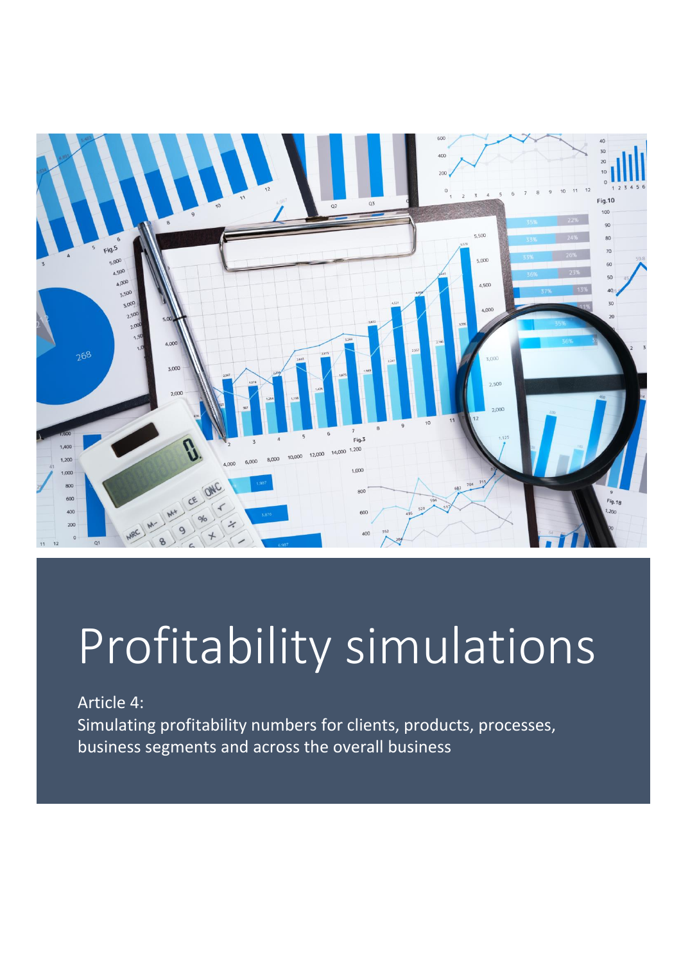

# Profitability simulations

Article 4:

Simulating profitability numbers for clients, products, processes, business segments and across the overall business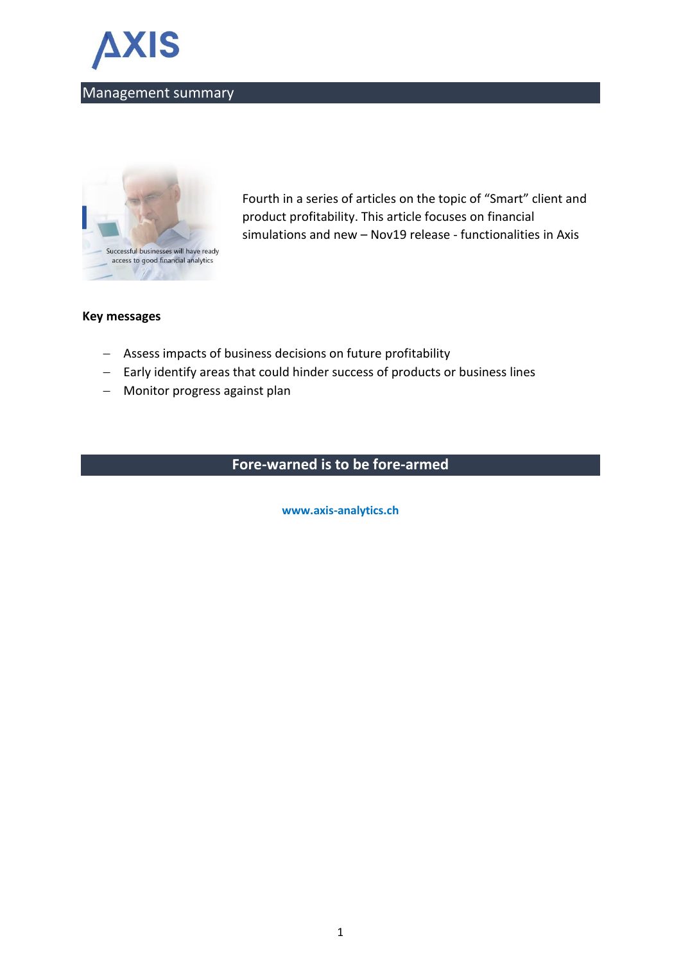



Fourth in a series of articles on the topic of "Smart" client and product profitability. This article focuses on financial simulations and new – Nov19 release - functionalities in Axis

#### **Key messages**

- − Assess impacts of business decisions on future profitability
- − Early identify areas that could hinder success of products or business lines
- − Monitor progress against plan

## **Fore-warned is to be fore-armed**

**www.axis-analytics.ch**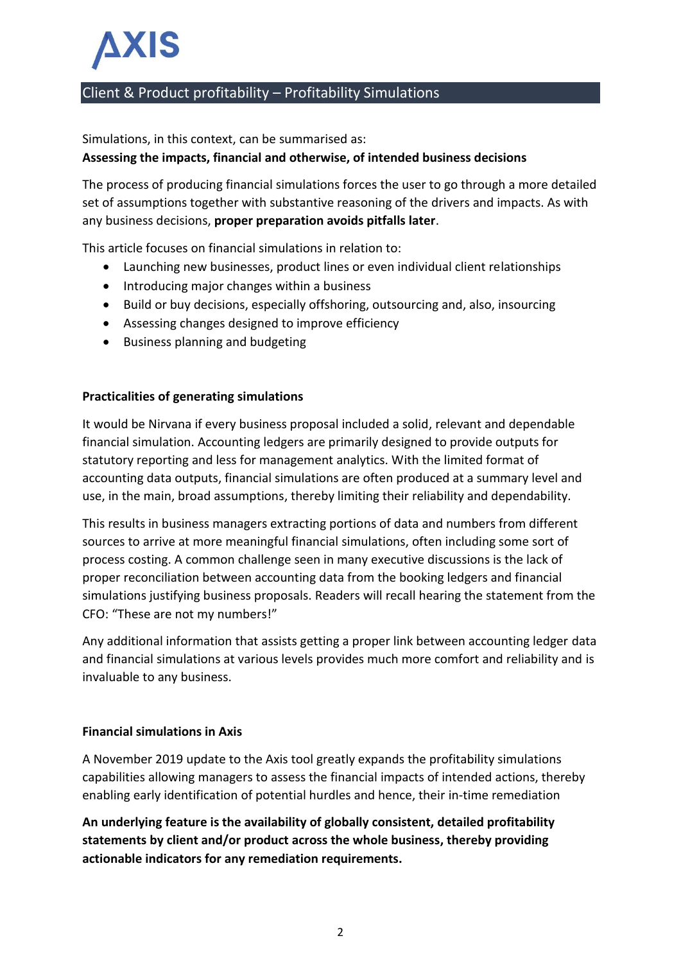# **AXIS**

## Client & Product profitability – Profitability Simulations

Simulations, in this context, can be summarised as:

#### **Assessing the impacts, financial and otherwise, of intended business decisions**

The process of producing financial simulations forces the user to go through a more detailed set of assumptions together with substantive reasoning of the drivers and impacts. As with any business decisions, **proper preparation avoids pitfalls later**.

This article focuses on financial simulations in relation to:

- Launching new businesses, product lines or even individual client relationships
- Introducing major changes within a business
- Build or buy decisions, especially offshoring, outsourcing and, also, insourcing
- Assessing changes designed to improve efficiency
- Business planning and budgeting

#### **Practicalities of generating simulations**

It would be Nirvana if every business proposal included a solid, relevant and dependable financial simulation. Accounting ledgers are primarily designed to provide outputs for statutory reporting and less for management analytics. With the limited format of accounting data outputs, financial simulations are often produced at a summary level and use, in the main, broad assumptions, thereby limiting their reliability and dependability.

This results in business managers extracting portions of data and numbers from different sources to arrive at more meaningful financial simulations, often including some sort of process costing. A common challenge seen in many executive discussions is the lack of proper reconciliation between accounting data from the booking ledgers and financial simulations justifying business proposals. Readers will recall hearing the statement from the CFO: "These are not my numbers!"

Any additional information that assists getting a proper link between accounting ledger data and financial simulations at various levels provides much more comfort and reliability and is invaluable to any business.

#### **Financial simulations in Axis**

A November 2019 update to the Axis tool greatly expands the profitability simulations capabilities allowing managers to assess the financial impacts of intended actions, thereby enabling early identification of potential hurdles and hence, their in-time remediation

**An underlying feature is the availability of globally consistent, detailed profitability statements by client and/or product across the whole business, thereby providing actionable indicators for any remediation requirements.**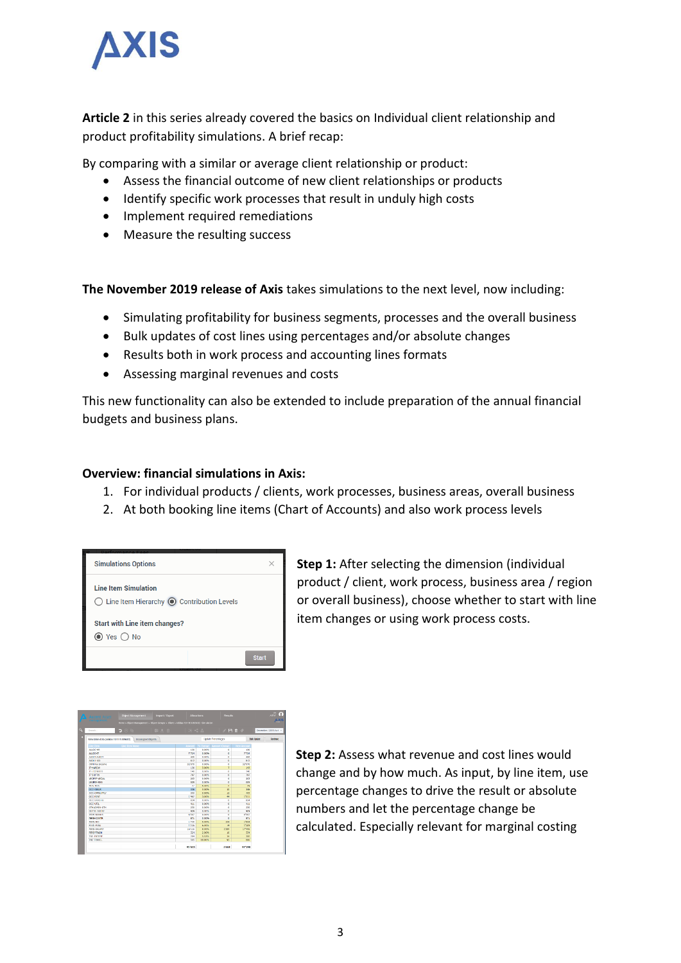

**Article 2** in this series already covered the basics on Individual client relationship and product profitability simulations. A brief recap:

By comparing with a similar or average client relationship or product:

- Assess the financial outcome of new client relationships or products
- Identify specific work processes that result in unduly high costs
- Implement required remediations
- Measure the resulting success

**The November 2019 release of Axis** takes simulations to the next level, now including:

- Simulating profitability for business segments, processes and the overall business
- Bulk updates of cost lines using percentages and/or absolute changes
- Results both in work process and accounting lines formats
- Assessing marginal revenues and costs

This new functionality can also be extended to include preparation of the annual financial budgets and business plans.

#### **Overview: financial simulations in Axis:**

- 1. For individual products / clients, work processes, business areas, overall business
- 2. At both booking line items (Chart of Accounts) and also work process levels

| <b>Simulations Options</b>                                                                   |              |
|----------------------------------------------------------------------------------------------|--------------|
| <b>Line Item Simulation</b><br>$\bigcirc$ Line Item Hierarchy $\bigcirc$ Contribution Levels |              |
| <b>Start with Line item changes?</b><br>$\odot$ Yes $\bigcirc$ No                            |              |
|                                                                                              | <b>Start</b> |

**Step 1:** After selecting the dimension (individual product / client, work process, business area / region or overall business), choose whether to start with line item changes or using work process costs.



**Step 2:** Assess what revenue and cost lines would change and by how much. As input, by line item, use percentage changes to drive the result or absolute numbers and let the percentage change be calculated. Especially relevant for marginal costing